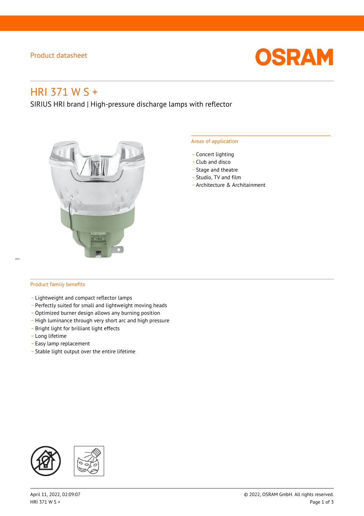## Product datasheet



# HRI 371 W S +

SIRIUS HRI brand | High-pressure discharge lamps with reflector



#### Areas of application

- Concert lighting
- \_ Club and disco
- Stage and theatre
- \_ Studio, TV and film
- \_ Architecture & Architainment

## Product family benefits

 $\overline{a}$ 

- \_ Lightweight and compact reflector lamps
- \_ Perfectly suited for small and lightweight moving heads
- Optimized burner design allows any burning position
- High luminance through very short arc and high pressure
- \_ Bright light for brilliant light effects
- \_ Long lifetime
- \_ Easy lamp replacement
- \_ Stable light output over the entire lifetime

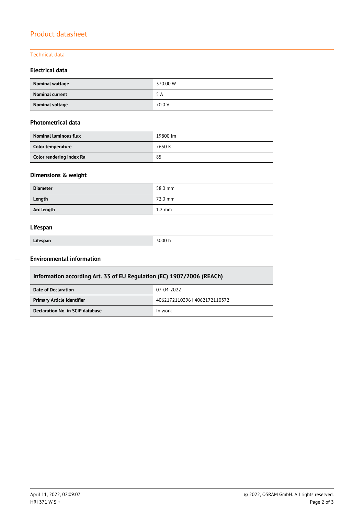## Product datasheet

## Technical data

## **Electrical data**

| Nominal wattage        | 370.00 W |
|------------------------|----------|
| <b>Nominal current</b> | 5 A      |
| Nominal voltage        | 70.0 V   |

## **Photometrical data**

| <b>Nominal luminous flux</b> | 19800 lm |
|------------------------------|----------|
| Color temperature            | 7650 K   |
| Color rendering index Ra     | 85       |

## **Dimensions & weight**

| <b>Diameter</b> | 58.0 mm          |
|-----------------|------------------|
| Length          | 72.0 mm          |
| Arc length      | $1.2 \text{ mm}$ |

## **Lifespan**

| Lifespan |  |  |
|----------|--|--|

Γ

**Lifespan** 3000 h

#### **Environmental information**  $\overline{a}$

| Information according Art. 33 of EU Regulation (EC) 1907/2006 (REACh) |                               |  |
|-----------------------------------------------------------------------|-------------------------------|--|
| Date of Declaration                                                   | 07-04-2022                    |  |
| <b>Primary Article Identifier</b>                                     | 4062172110396   4062172110372 |  |
| Declaration No. in SCIP database<br>In work                           |                               |  |